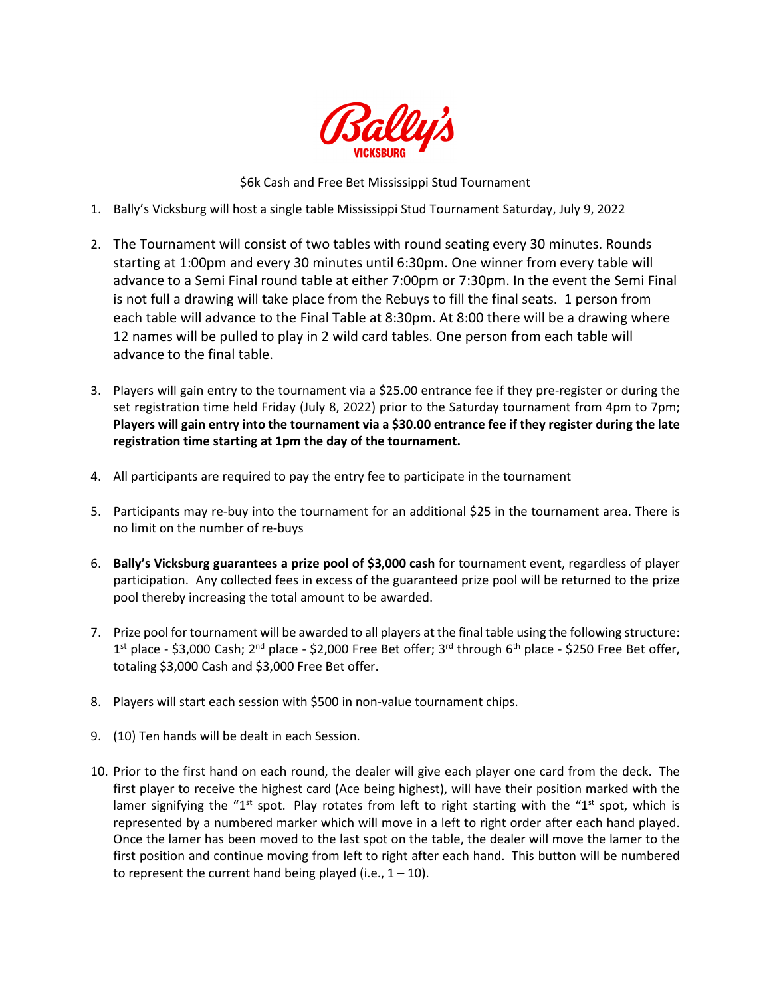

\$6k Cash and Free Bet Mississippi Stud Tournament

- 1. Bally's Vicksburg will host a single table Mississippi Stud Tournament Saturday, July 9, 2022
- 2. The Tournament will consist of two tables with round seating every 30 minutes. Rounds starting at 1:00pm and every 30 minutes until 6:30pm. One winner from every table will advance to a Semi Final round table at either 7:00pm or 7:30pm. In the event the Semi Final is not full a drawing will take place from the Rebuys to fill the final seats. 1 person from each table will advance to the Final Table at 8:30pm. At 8:00 there will be a drawing where 12 names will be pulled to play in 2 wild card tables. One person from each table will advance to the final table.
- 3. Players will gain entry to the tournament via a \$25.00 entrance fee if they pre-register or during the set registration time held Friday (July 8, 2022) prior to the Saturday tournament from 4pm to 7pm; **Players will gain entry into the tournament via a \$30.00 entrance fee if they register during the late registration time starting at 1pm the day of the tournament.**
- 4. All participants are required to pay the entry fee to participate in the tournament
- 5. Participants may re-buy into the tournament for an additional \$25 in the tournament area. There is no limit on the number of re-buys
- 6. **Bally's Vicksburg guarantees a prize pool of \$3,000 cash** for tournament event, regardless of player participation. Any collected fees in excess of the guaranteed prize pool will be returned to the prize pool thereby increasing the total amount to be awarded.
- 7. Prize pool for tournament will be awarded to all players at the final table using the following structure: 1<sup>st</sup> place - \$3,000 Cash; 2<sup>nd</sup> place - \$2,000 Free Bet offer; 3<sup>rd</sup> through 6<sup>th</sup> place - \$250 Free Bet offer, totaling \$3,000 Cash and \$3,000 Free Bet offer.
- 8. Players will start each session with \$500 in non-value tournament chips.
- 9. (10) Ten hands will be dealt in each Session.
- 10. Prior to the first hand on each round, the dealer will give each player one card from the deck. The first player to receive the highest card (Ace being highest), will have their position marked with the lamer signifying the "1<sup>st</sup> spot. Play rotates from left to right starting with the "1<sup>st</sup> spot, which is represented by a numbered marker which will move in a left to right order after each hand played. Once the lamer has been moved to the last spot on the table, the dealer will move the lamer to the first position and continue moving from left to right after each hand. This button will be numbered to represent the current hand being played (i.e.,  $1 - 10$ ).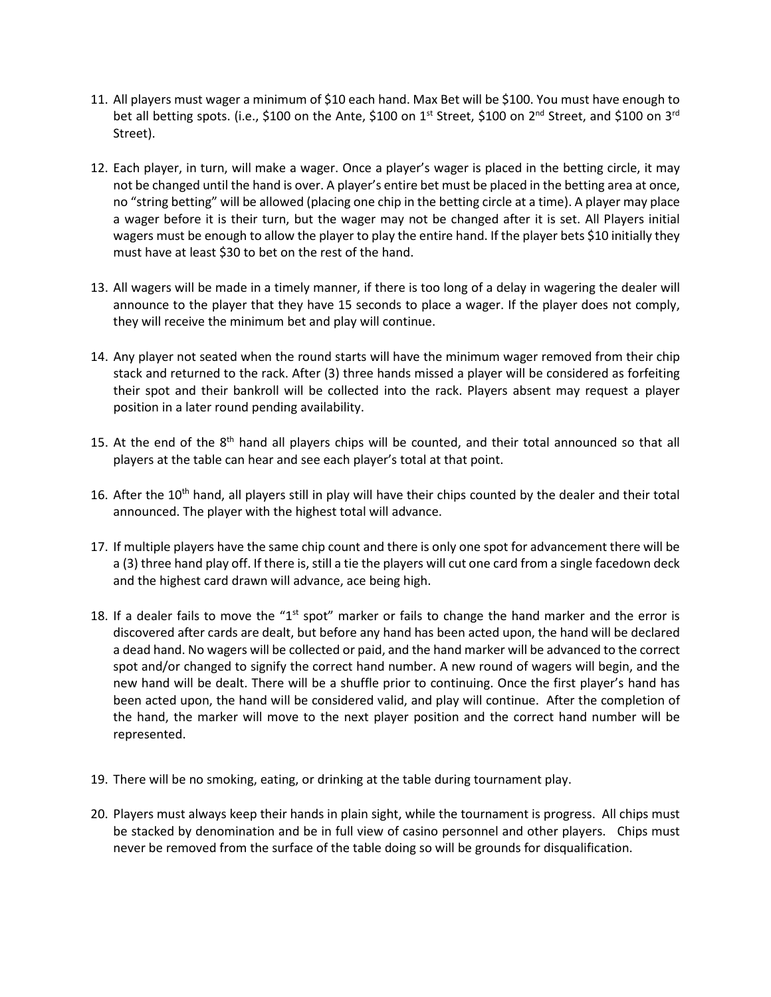- 11. All players must wager a minimum of \$10 each hand. Max Bet will be \$100. You must have enough to bet all betting spots. (i.e., \$100 on the Ante, \$100 on 1<sup>st</sup> Street, \$100 on 2<sup>nd</sup> Street, and \$100 on 3<sup>rd</sup> Street).
- 12. Each player, in turn, will make a wager. Once a player's wager is placed in the betting circle, it may not be changed until the hand is over. A player's entire bet must be placed in the betting area at once, no "string betting" will be allowed (placing one chip in the betting circle at a time). A player may place a wager before it is their turn, but the wager may not be changed after it is set. All Players initial wagers must be enough to allow the player to play the entire hand. If the player bets \$10 initially they must have at least \$30 to bet on the rest of the hand.
- 13. All wagers will be made in a timely manner, if there is too long of a delay in wagering the dealer will announce to the player that they have 15 seconds to place a wager. If the player does not comply, they will receive the minimum bet and play will continue.
- 14. Any player not seated when the round starts will have the minimum wager removed from their chip stack and returned to the rack. After (3) three hands missed a player will be considered as forfeiting their spot and their bankroll will be collected into the rack. Players absent may request a player position in a later round pending availability.
- 15. At the end of the 8<sup>th</sup> hand all players chips will be counted, and their total announced so that all players at the table can hear and see each player's total at that point.
- 16. After the 10<sup>th</sup> hand, all players still in play will have their chips counted by the dealer and their total announced. The player with the highest total will advance.
- 17. If multiple players have the same chip count and there is only one spot for advancement there will be a (3) three hand play off. If there is, still a tie the players will cut one card from a single facedown deck and the highest card drawn will advance, ace being high.
- 18. If a dealer fails to move the "1<sup>st</sup> spot" marker or fails to change the hand marker and the error is discovered after cards are dealt, but before any hand has been acted upon, the hand will be declared a dead hand. No wagers will be collected or paid, and the hand marker will be advanced to the correct spot and/or changed to signify the correct hand number. A new round of wagers will begin, and the new hand will be dealt. There will be a shuffle prior to continuing. Once the first player's hand has been acted upon, the hand will be considered valid, and play will continue. After the completion of the hand, the marker will move to the next player position and the correct hand number will be represented.
- 19. There will be no smoking, eating, or drinking at the table during tournament play.
- 20. Players must always keep their hands in plain sight, while the tournament is progress. All chips must be stacked by denomination and be in full view of casino personnel and other players. Chips must never be removed from the surface of the table doing so will be grounds for disqualification.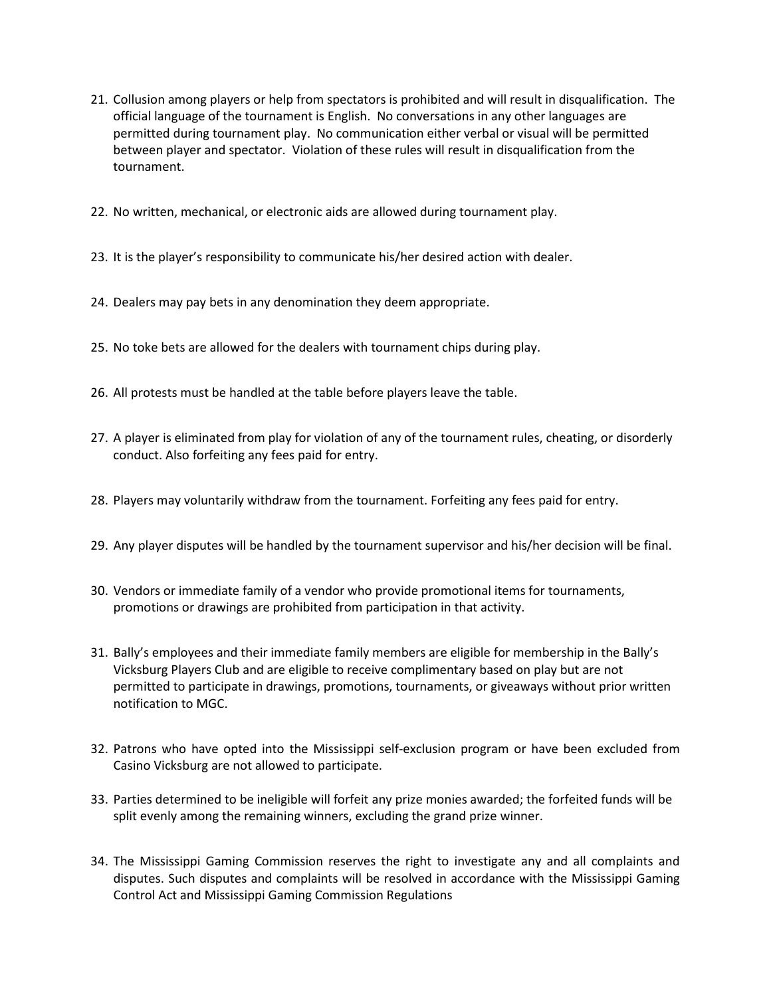- 21. Collusion among players or help from spectators is prohibited and will result in disqualification. The official language of the tournament is English. No conversations in any other languages are permitted during tournament play. No communication either verbal or visual will be permitted between player and spectator. Violation of these rules will result in disqualification from the tournament.
- 22. No written, mechanical, or electronic aids are allowed during tournament play.
- 23. It is the player's responsibility to communicate his/her desired action with dealer.
- 24. Dealers may pay bets in any denomination they deem appropriate.
- 25. No toke bets are allowed for the dealers with tournament chips during play.
- 26. All protests must be handled at the table before players leave the table.
- 27. A player is eliminated from play for violation of any of the tournament rules, cheating, or disorderly conduct. Also forfeiting any fees paid for entry.
- 28. Players may voluntarily withdraw from the tournament. Forfeiting any fees paid for entry.
- 29. Any player disputes will be handled by the tournament supervisor and his/her decision will be final.
- 30. Vendors or immediate family of a vendor who provide promotional items for tournaments, promotions or drawings are prohibited from participation in that activity.
- 31. Bally's employees and their immediate family members are eligible for membership in the Bally's Vicksburg Players Club and are eligible to receive complimentary based on play but are not permitted to participate in drawings, promotions, tournaments, or giveaways without prior written notification to MGC.
- 32. Patrons who have opted into the Mississippi self-exclusion program or have been excluded from Casino Vicksburg are not allowed to participate.
- 33. Parties determined to be ineligible will forfeit any prize monies awarded; the forfeited funds will be split evenly among the remaining winners, excluding the grand prize winner.
- 34. The Mississippi Gaming Commission reserves the right to investigate any and all complaints and disputes. Such disputes and complaints will be resolved in accordance with the Mississippi Gaming Control Act and Mississippi Gaming Commission Regulations